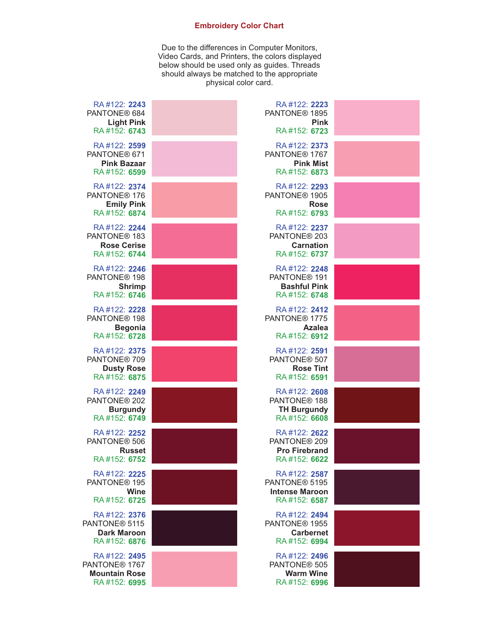## **Embroidery Color Chart**

Due to the differences in Computer Monitors, Video Cards, and Printers, the colors displayed below should be used only as guides. Threads should always be matched to the appropriate physical color card.

| RA#122: 2243<br>PANTONE® 684<br><b>Light Pink</b><br>RA#152: 6743                 | RA#122: 2223<br>PANTONE <sup>®</sup> 1895<br><b>Pink</b><br>RA#152: 6723         |  |
|-----------------------------------------------------------------------------------|----------------------------------------------------------------------------------|--|
| RA#122: 2599<br>PANTONE® 671<br><b>Pink Bazaar</b><br>RA#152: 6599                | RA#122: 2373<br>PANTONE <sup>®</sup> 1767<br><b>Pink Mist</b><br>RA#152: 6873    |  |
| RA#122: 2374<br>PANTONE <sup>®</sup> 176<br><b>Emily Pink</b><br>RA#152: 6874     | RA#122: 2293<br>PANTONE <sup>®</sup> 1905<br><b>Rose</b><br>RA#152: 6793         |  |
| RA#122: 2244<br>PANTONE <sup>®</sup> 183<br><b>Rose Cerise</b><br>RA#152: 6744    | RA#122: 2237<br>PANTONE <sup>®</sup> 203<br><b>Carnation</b><br>RA#152: 6737     |  |
| RA#122: 2246<br>PANTONE <sup>®</sup> 198<br><b>Shrimp</b><br>RA#152: 6746         | RA#122: 2248<br>PANTONE <sup>®</sup> 191<br><b>Bashful Pink</b><br>RA#152: 6748  |  |
| RA#122: 2228<br>PANTONE <sup>®</sup> 198<br><b>Begonia</b><br>RA#152: 6728        | RA#122: 2412<br>PANTONE <sup>®</sup> 1775<br><b>Azalea</b><br>RA#152: 6912       |  |
| RA#122: 2375<br>PANTONE <sup>®</sup> 709<br><b>Dusty Rose</b><br>RA#152: 6875     | RA#122: 2591<br>PANTONE <sup>®</sup> 507<br><b>Rose Tint</b><br>RA#152: 6591     |  |
| RA#122: 2249<br>PANTONE <sup>®</sup> 202<br><b>Burgundy</b><br>RA#152: 6749       | RA#122: 2608<br>PANTONE <sup>®</sup> 188<br><b>TH Burgundy</b><br>RA#152: 6608   |  |
| RA#122: 2252<br>PANTONE <sup>®</sup> 506<br><b>Russet</b><br>RA#152: 6752         | RA#122: 2622<br>PANTONE <sup>®</sup> 209<br><b>Pro Firebrand</b><br>RA#152: 6622 |  |
| RA#122: 2225<br>PANTONE <sup>®</sup> 195<br>Wine<br>RA#152: 6725                  | RA#122: 2587<br>PANTONE® 5195<br><b>Intense Maroon</b><br>RA#152: 6587           |  |
| RA#122: 2376<br>PANTONE <sup>®</sup> 5115<br><b>Dark Maroon</b><br>RA#152: 6876   | RA#122: 2494<br>PANTONE <sup>®</sup> 1955<br><b>Carbernet</b><br>RA#152: 6994    |  |
| RA#122: 2495<br>PANTONE <sup>®</sup> 1767<br><b>Mountain Rose</b><br>RA#152: 6995 | RA#122: 2496<br>PANTONE <sup>®</sup> 505<br><b>Warm Wine</b><br>RA#152: 6996     |  |
|                                                                                   |                                                                                  |  |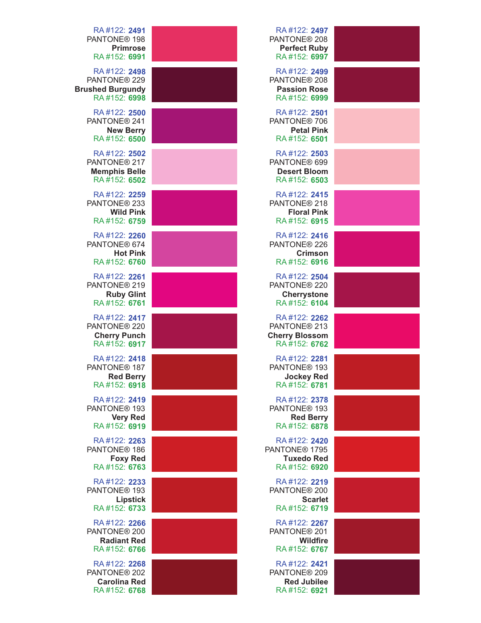| RA#122: 2497<br>PANTONE <sup>®</sup> 208<br><b>Perfect Ruby</b><br>RA#152: 6997   | RA#122: 2491<br>PANTONE <sup>®</sup> 198<br><b>Primrose</b><br>RA#152: 6991         |
|-----------------------------------------------------------------------------------|-------------------------------------------------------------------------------------|
| RA#122: 2499<br>PANTONE® 208<br><b>Passion Rose</b><br>RA#152: 6999               | RA#122: 2498<br>PANTONE <sup>®</sup> 229<br><b>Brushed Burgundy</b><br>RA#152: 6998 |
| RA#122: 2501<br>PANTONE® 706<br><b>Petal Pink</b><br>RA#152: 6501                 | RA#122: 2500<br>PANTONE <sup>®</sup> 241<br><b>New Berry</b><br>RA#152: 6500        |
| RA#122: 2503<br>PANTONE® 699<br><b>Desert Bloom</b><br>RA#152: 6503               | RA#122: 2502<br>PANTONE <sup>®</sup> 217<br><b>Memphis Belle</b><br>RA#152: 6502    |
| RA#122: 2415<br>PANTONE® 218<br><b>Floral Pink</b><br>RA#152: 6915                | RA#122: 2259<br>PANTONE <sup>®</sup> 233<br><b>Wild Pink</b><br>RA#152: 6759        |
| RA#122: 2416<br>PANTONE® 226<br><b>Crimson</b><br>RA#152: 6916                    | RA#122: 2260<br>PANTONE® 674<br><b>Hot Pink</b><br>RA#152: 6760                     |
| RA#122: 2504<br>PANTONE <sup>®</sup> 220<br><b>Cherrystone</b><br>RA#152: 6104    | RA#122: 2261<br>PANTONE <sup>®</sup> 219<br><b>Ruby Glint</b><br>RA#152: 6761       |
| RA#122: 2262<br>PANTONE <sup>®</sup> 213<br><b>Cherry Blossom</b><br>RA#152: 6762 | RA#122: 2417<br>PANTONE <sup>®</sup> 220<br><b>Cherry Punch</b><br>RA#152: 6917     |
| RA#122: 2281<br>PANTONE <sup>®</sup> 193<br><b>Jockey Red</b><br>RA#152: 6781     | RA#122: 2418<br>PANTONE <sup>®</sup> 187<br><b>Red Berry</b><br>RA#152: 6918        |
| RA#122: 2378<br>PANTONE <sup>®</sup> 193<br><b>Red Berry</b><br>RA#152: 6878      | RA#122: 2419<br>PANTONE <sup>®</sup> 193<br><b>Very Red</b><br>RA#152: 6919         |
| RA#122: 2420<br>PANTONE <sup>®</sup> 1795<br><b>Tuxedo Red</b><br>RA#152: 6920    | RA#122: 2263<br>PANTONE <sup>®</sup> 186<br><b>Foxy Red</b><br>RA#152: 6763         |
| RA#122: 2219<br>PANTONE <sup>®</sup> 200<br><b>Scarlet</b><br>RA#152: 6719        | RA#122: 2233<br>PANTONE <sup>®</sup> 193<br><b>Lipstick</b><br>RA#152: 6733         |
| RA#122: 2267<br>PANTONE® 201<br><b>Wildfire</b><br>RA#152: 6767                   | RA#122: 2266<br>PANTONE <sup>®</sup> 200<br><b>Radiant Red</b><br>RA#152: 6766      |
| RA#122: 2421<br>PANTONE® 209<br><b>Red Jubilee</b><br>RA#152: 6921                | RA#122: 2268<br>PANTONE <sup>®</sup> 202<br><b>Carolina Red</b><br>RA#152: 6768     |
|                                                                                   |                                                                                     |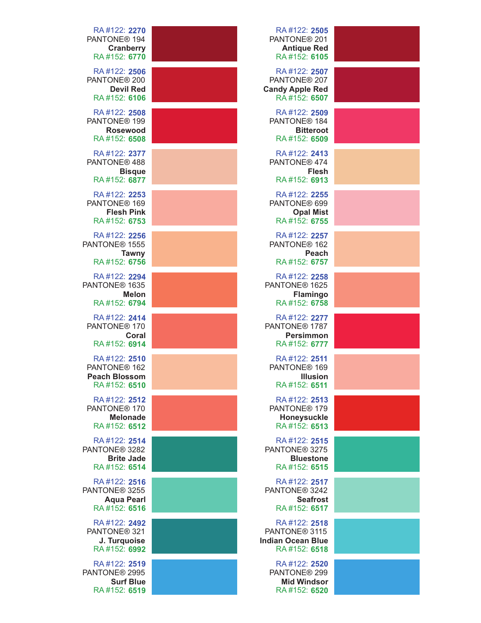| RA#122: 2505<br>PANTONE <sup>®</sup> 201<br><b>Antique Red</b><br>RA#152: 6105        | RA#122: 2270<br>PANTONE <sup>®</sup> 194<br><b>Cranberry</b><br>RA#152: 6770     |
|---------------------------------------------------------------------------------------|----------------------------------------------------------------------------------|
| RA#122: 2507<br>PANTONE <sup>®</sup> 207<br><b>Candy Apple Red</b><br>RA#152: 6507    | RA#122: 2506<br>PANTONE <sup>®</sup> 200<br><b>Devil Red</b><br>RA#152: 6106     |
| RA#122: 2509<br>PANTONE <sup>®</sup> 184<br><b>Bitteroot</b><br>RA#152: 6509          | RA#122: 2508<br>PANTONE <sup>®</sup> 199<br><b>Rosewood</b><br>RA#152: 6508      |
| RA#122: 2413<br>PANTONE® 474<br>Flesh<br>RA#152: 6913                                 | RA#122: 2377<br>PANTONE® 488<br><b>Bisque</b><br>RA#152: 6877                    |
| RA#122: 2255<br>PANTONE® 699<br><b>Opal Mist</b><br>RA#152: 6755                      | RA#122: 2253<br>PANTONE <sup>®</sup> 169<br><b>Flesh Pink</b><br>RA#152: 6753    |
| RA#122: 2257<br>PANTONE <sup>®</sup> 162<br><b>Peach</b><br>RA#152: 6757              | RA#122: 2256<br>PANTONE <sup>®</sup> 1555<br><b>Tawny</b><br>RA#152: 6756        |
| RA#122: 2258<br>PANTONE® 1625<br><b>Flamingo</b><br>RA#152: 6758                      | RA#122: 2294<br>PANTONE <sup>®</sup> 1635<br><b>Melon</b><br>RA#152: 6794        |
| RA#122: 2277<br>PANTONE <sup>®</sup> 1787<br><b>Persimmon</b><br>RA#152: 6777         | RA#122: 2414<br>PANTONE <sup>®</sup> 170<br>Coral<br>RA#152: 6914                |
| RA#122: 2511<br>PANTONE <sup>®</sup> 169<br><b>Illusion</b><br>RA#152: 6511           | RA#122: 2510<br>PANTONE <sup>®</sup> 162<br><b>Peach Blossom</b><br>RA#152: 6510 |
| RA#122: 2513<br>PANTONE <sup>®</sup> 179<br>Honeysuckle<br>RA#152: 6513               | RA#122: 2512<br>PANTONE <sup>®</sup> 170<br><b>Melonade</b><br>RA#152: 6512      |
| RA#122: 2515<br>PANTONE <sup>®</sup> 3275<br><b>Bluestone</b><br>RA#152: 6515         | RA#122: 2514<br>PANTONE <sup>®</sup> 3282<br><b>Brite Jade</b><br>RA#152: 6514   |
| RA#122: 2517<br>PANTONE <sup>®</sup> 3242<br><b>Seafrost</b><br>RA#152: 6517          | RA#122: 2516<br>PANTONE <sup>®</sup> 3255<br><b>Aqua Pearl</b><br>RA#152: 6516   |
| RA#122: 2518<br>PANTONE <sup>®</sup> 3115<br><b>Indian Ocean Blue</b><br>RA#152: 6518 | RA#122: 2492<br>PANTONE <sup>®</sup> 321<br>J. Turquoise<br>RA#152: 6992         |
| RA#122: 2520<br>PANTONE® 299<br><b>Mid Windsor</b><br>RA#152: 6520                    | RA#122: 2519<br>PANTONE <sup>®</sup> 2995<br><b>Surf Blue</b><br>RA#152: 6519    |
|                                                                                       |                                                                                  |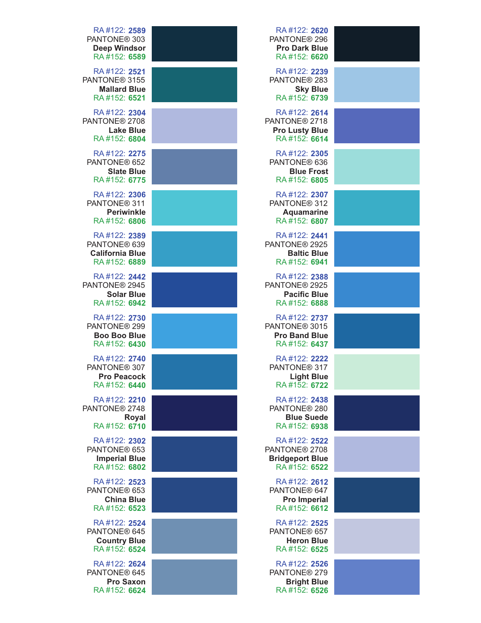| RA#122: 2589<br>PANTONE <sup>®</sup> 303<br><b>Deep Windsor</b><br>RA#152: 6589  | RA#122: 2620<br>PANTONE <sup>®</sup> 296<br><b>Pro Dark Blue</b><br>RA#152: 6620    |  |
|----------------------------------------------------------------------------------|-------------------------------------------------------------------------------------|--|
| RA#122: 2521<br>PANTONE <sup>®</sup> 3155<br><b>Mallard Blue</b><br>RA#152: 6521 | RA#122: 2239<br>PANTONE <sup>®</sup> 283<br><b>Sky Blue</b><br>RA#152: 6739         |  |
| RA#122: 2304<br>PANTONE <sup>®</sup> 2708<br><b>Lake Blue</b><br>RA#152: 6804    | RA#122: 2614<br>PANTONE <sup>®</sup> 2718<br><b>Pro Lusty Blue</b><br>RA#152: 6614  |  |
| RA#122: 2275<br>PANTONE <sup>®</sup> 652<br><b>Slate Blue</b><br>RA#152: 6775    | RA#122: 2305<br>PANTONE® 636<br><b>Blue Frost</b><br>RA#152: 6805                   |  |
| RA#122: 2306<br>PANTONE <sup>®</sup> 311<br><b>Periwinkle</b><br>RA#152: 6806    | RA#122: 2307<br>PANTONE <sup>®</sup> 312<br><b>Aquamarine</b><br>RA#152: 6807       |  |
| RA#122: 2389<br>PANTONE® 639<br><b>California Blue</b><br>RA#152: 6889           | RA#122: 2441<br>PANTONE <sup>®</sup> 2925<br><b>Baltic Blue</b><br>RA#152: 6941     |  |
| RA#122: 2442<br>PANTONE <sup>®</sup> 2945<br><b>Solar Blue</b><br>RA#152: 6942   | RA#122: 2388<br>PANTONE <sup>®</sup> 2925<br><b>Pacific Blue</b><br>RA#152: 6888    |  |
| RA#122: 2730<br>PANTONE <sup>®</sup> 299<br><b>Boo Boo Blue</b><br>RA#152: 6430  | RA#122: 2737<br>PANTONE <sup>®</sup> 3015<br><b>Pro Band Blue</b><br>RA#152: 6437   |  |
| RA#122: 2740<br>PANTONE <sup>®</sup> 307<br><b>Pro Peacock</b><br>RA#152: 6440   | RA#122: 2222<br>PANTONE <sup>®</sup> 317<br><b>Light Blue</b><br>RA#152: 6722       |  |
| RA#122: 2210<br>PANTONE® 2748<br><b>Royal</b><br>RA#152: 6710                    | RA#122: 2438<br>PANTONE <sup>®</sup> 280<br><b>Blue Suede</b><br>RA#152: 6938       |  |
| RA#122: 2302<br>PANTONE <sup>®</sup> 653<br><b>Imperial Blue</b><br>RA#152: 6802 | RA#122: 2522<br>PANTONE <sup>®</sup> 2708<br><b>Bridgeport Blue</b><br>RA#152: 6522 |  |
| RA#122: 2523<br>PANTONE <sup>®</sup> 653<br><b>China Blue</b><br>RA#152: 6523    | RA#122: 2612<br>PANTONE <sup>®</sup> 647<br><b>Pro Imperial</b><br>RA#152: 6612     |  |
| RA#122: 2524<br>PANTONE® 645<br><b>Country Blue</b><br>RA#152: 6524              | RA#122: 2525<br>PANTONE® 657<br><b>Heron Blue</b><br>RA#152: 6525                   |  |
| RA#122: 2624<br>PANTONE® 645<br><b>Pro Saxon</b><br>RA#152: 6624                 | RA#122: 2526<br>PANTONE <sup>®</sup> 279<br><b>Bright Blue</b><br>RA#152: 6526      |  |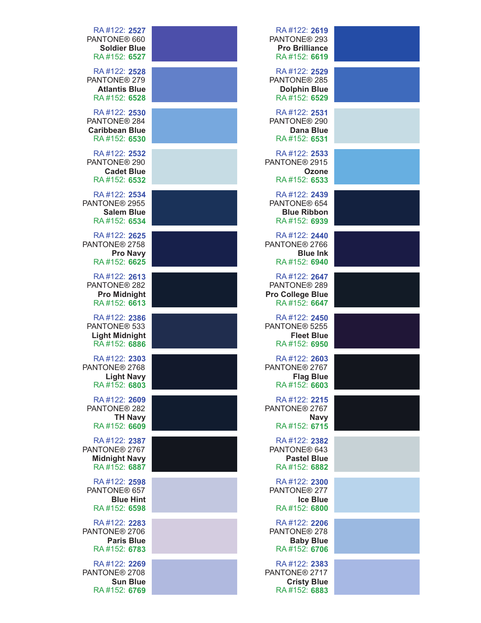| RA#122: 2619<br>PANTONE <sup>®</sup> 293<br><b>Pro Brilliance</b><br>RA#152: 6619   | RA#122: 2527<br>PANTONE <sup>®</sup> 660<br><b>Soldier Blue</b><br>RA#152: 6527   |
|-------------------------------------------------------------------------------------|-----------------------------------------------------------------------------------|
| RA#122: 2529<br>PANTONE® 285<br><b>Dolphin Blue</b><br>RA#152: 6529                 | RA#122: 2528<br>PANTONE <sup>®</sup> 279<br><b>Atlantis Blue</b><br>RA#152: 6528  |
| RA#122: 2531<br>PANTONE® 290<br><b>Dana Blue</b><br>RA#152: 6531                    | RA#122: 2530<br>PANTONE <sup>®</sup> 284<br><b>Caribbean Blue</b><br>RA#152: 6530 |
| RA#122: 2533<br>PANTONE® 2915<br>Ozone<br>RA#152: 6533                              | RA#122: 2532<br>PANTONE <sup>®</sup> 290<br><b>Cadet Blue</b><br>RA#152: 6532     |
| RA#122: 2439<br>PANTONE® 654<br><b>Blue Ribbon</b><br>RA#152: 6939                  | RA#122: 2534<br>PANTONE <sup>®</sup> 2955<br><b>Salem Blue</b><br>RA#152: 6534    |
| RA#122: 2440<br>PANTONE <sup>®</sup> 2766<br><b>Blue Ink</b><br>RA#152: 6940        | RA#122: 2625<br>PANTONE <sup>®</sup> 2758<br><b>Pro Navy</b><br>RA#152: 6625      |
| RA#122: 2647<br>PANTONE <sup>®</sup> 289<br><b>Pro College Blue</b><br>RA#152: 6647 | RA#122: 2613<br>PANTONE <sup>®</sup> 282<br><b>Pro Midnight</b><br>RA#152: 6613   |
| RA#122: 2450<br>PANTONE <sup>®</sup> 5255<br><b>Fleet Blue</b><br>RA#152: 6950      | RA#122: 2386<br>PANTONE <sup>®</sup> 533<br><b>Light Midnight</b><br>RA#152: 6886 |
| RA#122: 2603<br>PANTONE <sup>®</sup> 2767<br><b>Flag Blue</b><br>RA#152: 6603       | RA#122: 2303<br>PANTONE <sup>®</sup> 2768<br><b>Light Navy</b><br>RA#152: 6803    |
| RA#122: 2215<br>PANTONE <sup>®</sup> 2767<br><b>Navy</b><br>RA#152: 6715            | RA#122: 2609<br>PANTONE <sup>®</sup> 282<br><b>TH Navy</b><br>RA#152: 6609        |
| RA#122: 2382<br>PANTONE® 643<br><b>Pastel Blue</b><br>RA#152: 6882                  | RA#122: 2387<br>PANTONE <sup>®</sup> 2767<br><b>Midnight Navy</b><br>RA#152: 6887 |
| RA#122: 2300<br>PANTONE <sup>®</sup> 277<br><b>Ice Blue</b><br>RA#152: 6800         | RA#122: 2598<br>PANTONE <sup>®</sup> 657<br><b>Blue Hint</b><br>RA#152: 6598      |
| RA#122: 2206<br>PANTONE <sup>®</sup> 278<br><b>Baby Blue</b><br>RA#152: 6706        | RA#122: 2283<br>PANTONE® 2706<br><b>Paris Blue</b><br>RA#152: 6783                |
| RA#122: 2383<br>PANTONE <sup>®</sup> 2717<br><b>Cristy Blue</b><br>RA#152: 6883     | RA#122: 2269<br>PANTONE <sup>®</sup> 2708<br><b>Sun Blue</b><br>RA#152: 6769      |
|                                                                                     |                                                                                   |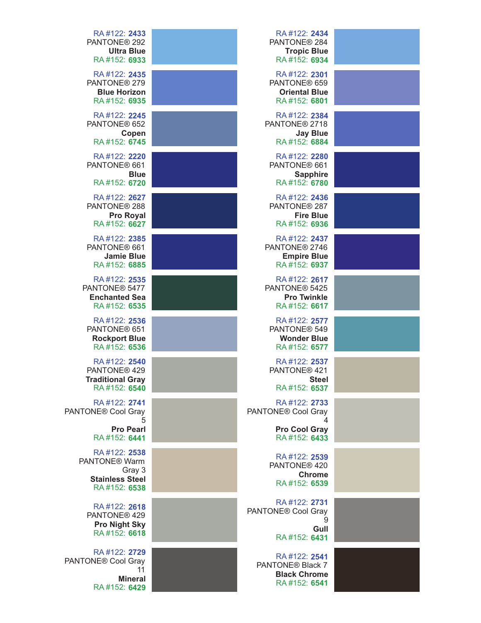| RA#122: 2433<br>PANTONE® 292<br><b>Ultra Blue</b>                                      | RA#122: 2434<br>PANTONE <sup>®</sup> 284<br><b>Tropic Blue</b>                      |  |
|----------------------------------------------------------------------------------------|-------------------------------------------------------------------------------------|--|
| RA#152: 6933<br>RA#122: 2435                                                           | RA#152: 6934<br>RA#122: 2301                                                        |  |
| PANTONE <sup>®</sup> 279<br><b>Blue Horizon</b><br>RA#152: 6935                        | PANTONE® 659<br><b>Oriental Blue</b><br>RA#152: 6801                                |  |
| RA#122: 2245<br>PANTONE <sup>®</sup> 652<br>Copen<br>RA#152: 6745                      | RA#122: 2384<br>PANTONE <sup>®</sup> 2718<br><b>Jay Blue</b><br>RA#152: 6884        |  |
| RA#122: 2220<br>PANTONE® 661<br><b>Blue</b>                                            | RA#122: 2280<br>PANTONE® 661<br><b>Sapphire</b>                                     |  |
| RA#152: 6720                                                                           | RA#152: 6780                                                                        |  |
| RA#122: 2627<br>PANTONE <sup>®</sup> 288<br><b>Pro Royal</b><br>RA#152: 6627           | RA#122: 2436<br>PANTONE® 287<br><b>Fire Blue</b><br>RA#152: 6936                    |  |
| RA#122: 2385<br>PANTONE® 661<br><b>Jamie Blue</b><br>RA#152: 6885                      | RA#122: 2437<br>PANTONE <sup>®</sup> 2746<br><b>Empire Blue</b><br>RA#152: 6937     |  |
| RA#122: 2535<br>PANTONE <sup>®</sup> 5477<br><b>Enchanted Sea</b><br>RA#152: 6535      | RA#122: 2617<br>PANTONE <sup>®</sup> 5425<br><b>Pro Twinkle</b><br>RA#152: 6617     |  |
| RA#122: 2536<br>PANTONE <sup>®</sup> 651<br><b>Rockport Blue</b><br>RA#152: 6536       | RA#122: 2577<br>PANTONE <sup>®</sup> 549<br><b>Wonder Blue</b><br>RA#152: 6577      |  |
| RA#122: 2540<br>PANTONE® 429<br><b>Traditional Gray</b><br>RA#152: 6540                | RA#122: 2537<br>PANTONE <sup>®</sup> 421<br><b>Steel</b><br>RA#152: 6537            |  |
| RA#122: 2741<br>PANTONE <sup>®</sup> Cool Gray<br>5<br><b>Pro Pearl</b>                | RA#122: 2733<br>PANTONE <sup>®</sup> Cool Gray<br>4<br><b>Pro Cool Gray</b>         |  |
| RA#152: 6441<br>RA#122: 2538<br>PANTONE <sup>®</sup> Warm                              | RA#152: 6433<br>RA#122: 2539                                                        |  |
| Gray 3<br><b>Stainless Steel</b><br>RA#152: 6538                                       | PANTONE® 420<br><b>Chrome</b><br>RA#152: 6539                                       |  |
| RA#122: 2618<br>PANTONE <sup>®</sup> 429<br><b>Pro Night Sky</b>                       | RA#122: 2731<br>PANTONE® Cool Gray<br>9<br>Gull                                     |  |
| RA#152: 6618                                                                           | RA#152: 6431                                                                        |  |
| RA#122: 2729<br>PANTONE <sup>®</sup> Cool Gray<br>11<br><b>Mineral</b><br>RA#152: 6429 | RA#122: 2541<br>PANTONE <sup>®</sup> Black 7<br><b>Black Chrome</b><br>RA#152: 6541 |  |
|                                                                                        |                                                                                     |  |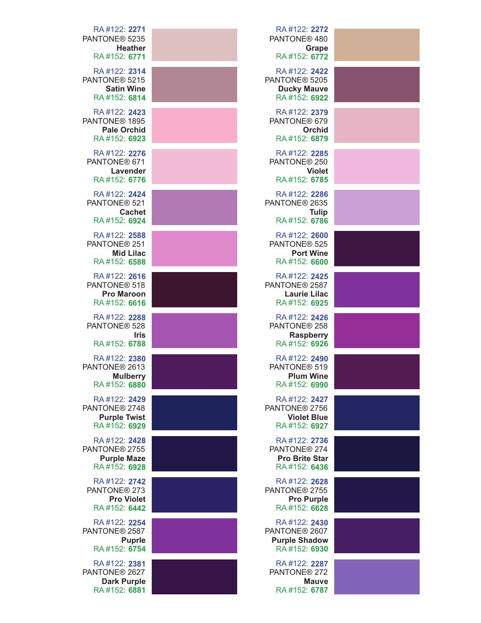| RA#122: 2271<br>PANTONE® 5235<br><b>Heather</b>                                  | RA#122: 2272<br>PANTONE® 480<br><b>Grape</b>                                      |  |
|----------------------------------------------------------------------------------|-----------------------------------------------------------------------------------|--|
| RA#152: 6771                                                                     | RA#152: 6772                                                                      |  |
| RA#122: 2314<br>PANTONE <sup>®</sup> 5215<br><b>Satin Wine</b><br>RA#152: 6814   | RA#122: 2422<br>PANTONE® 5205<br><b>Ducky Mauve</b><br>RA#152: 6922               |  |
| RA#122: 2423<br>PANTONE <sup>®</sup> 1895<br><b>Pale Orchid</b><br>RA#152: 6923  | RA#122: 2379<br>PANTONE® 679<br>Orchid<br>RA#152: 6879                            |  |
| RA#122: 2276<br>PANTONE® 671<br>Lavender<br>RA#152: 6776                         | RA#122: 2285<br>PANTONE® 250<br><b>Violet</b><br>RA#152: 6785                     |  |
| RA#122: 2424<br>PANTONE <sup>®</sup> 521<br><b>Cachet</b><br>RA#152: 6924        | RA#122: 2286<br>PANTONE <sup>®</sup> 2635<br><b>Tulip</b><br>RA#152: 6786         |  |
| RA#122: 2588<br>PANTONE <sup>®</sup> 251<br><b>Mid Lilac</b><br>RA#152: 6588     | RA#122: 2600<br>PANTONE <sup>®</sup> 525<br><b>Port Wine</b><br>RA#152: 6600      |  |
| RA#122: 2616<br>PANTONE® 518<br><b>Pro Maroon</b><br>RA#152: 6616                | RA#122: 2425<br>PANTONE <sup>®</sup> 2587<br><b>Laurie Lilac</b><br>RA#152: 6925  |  |
| RA#122: 2288<br>PANTONE <sup>®</sup> 528<br><b>Iris</b><br>RA#152: 6788          | RA#122: 2426<br>PANTONE <sup>®</sup> 258<br><b>Raspberry</b><br>RA#152: 6926      |  |
| RA#122: 2380<br>PANTONE® 2613<br><b>Mulberry</b><br>RA#152: 6880                 | RA#122: 2490<br>PANTONE® 519<br><b>Plum Wine</b><br>RA#152: 6990                  |  |
| RA#122: 2429<br>PANTONE <sup>®</sup> 2748<br><b>Purple Twist</b><br>RA#152: 6929 | RA#122: 2427<br>PANTONE <sup>®</sup> 2756<br><b>Violet Blue</b><br>RA#152: 6927   |  |
| RA#122: 2428<br>PANTONE <sup>®</sup> 2755<br><b>Purple Maze</b><br>RA#152: 6928  | RA#122: 2736<br>PANTONE <sup>®</sup> 274<br><b>Pro Brite Star</b><br>RA#152: 6436 |  |
| RA#122: 2742<br>PANTONE <sup>®</sup> 273<br><b>Pro Violet</b><br>RA#152: 6442    | RA#122: 2628<br>PANTONE <sup>®</sup> 2755<br><b>Pro Purple</b><br>RA#152: 6628    |  |
| RA#122: 2254<br>PANTONE <sup>®</sup> 2587<br><b>Puprle</b><br>RA#152: 6754       | RA#122: 2430<br>PANTONE <sup>®</sup> 2607<br><b>Purple Shadow</b><br>RA#152: 6930 |  |
| RA#122: 2381<br>PANTONE® 2627<br><b>Dark Purple</b><br>RA#152: 6881              | RA#122: 2287<br>PANTONE <sup>®</sup> 272<br><b>Mauve</b><br>RA#152: 6787          |  |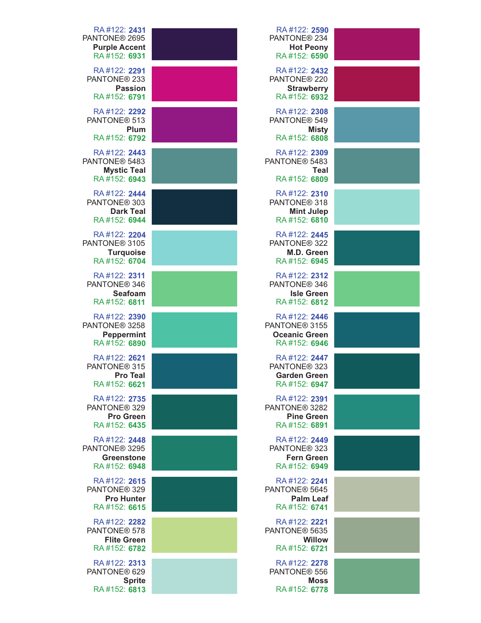| RA#122: 2590<br>PANTONE <sup>®</sup> 234<br><b>Hot Peony</b><br>RA#152: 6590      |                    | RA#122: 2431<br>PANTONE <sup>®</sup> 2695<br><b>Purple Accent</b><br>RA#152: 6931 |
|-----------------------------------------------------------------------------------|--------------------|-----------------------------------------------------------------------------------|
| RA#122: 2432<br>PANTONE® 220<br><b>Strawberry</b><br>RA#152: 6932                 | <b>Passion</b>     | RA#122: 2291<br>PANTONE <sup>®</sup> 233<br>RA#152: 6791                          |
| RA#122: 2308<br>PANTONE <sup>®</sup> 549<br><b>Misty</b><br>RA#152: 6808          | Plum               | RA#122: 2292<br>PANTONE <sup>®</sup> 513<br>RA#152: 6792                          |
| RA#122: 2309<br>PANTONE <sup>®</sup> 5483<br>Teal<br>RA#152: 6809                 | <b>Mystic Teal</b> | RA#122: 2443<br>PANTONE <sup>®</sup> 5483<br>RA#152: 6943                         |
| RA#122: 2310<br>PANTONE <sup>®</sup> 318<br><b>Mint Julep</b><br>RA#152: 6810     | <b>Dark Teal</b>   | RA#122: 2444<br>PANTONE <sup>®</sup> 303<br>RA#152: 6944                          |
| RA#122: 2445<br>PANTONE <sup>®</sup> 322<br>M.D. Green<br>RA#152: 6945            | <b>Turquoise</b>   | RA#122: 2204<br>PANTONE <sup>®</sup> 3105<br>RA#152: 6704                         |
| RA#122: 2312<br>PANTONE <sup>®</sup> 346<br><b>Isle Green</b><br>RA#152: 6812     | <b>Seafoam</b>     | RA#122: 2311<br>PANTONE <sup>®</sup> 346<br>RA#152: 6811                          |
| RA#122: 2446<br>PANTONE <sup>®</sup> 3155<br><b>Oceanic Green</b><br>RA#152: 6946 | <b>Peppermint</b>  | RA#122: 2390<br>PANTONE <sup>®</sup> 3258<br>RA#152: 6890                         |
| RA#122: 2447<br>PANTONE <sup>®</sup> 323<br><b>Garden Green</b><br>RA#152: 6947   | <b>Pro Teal</b>    | RA#122: 2621<br>PANTONE <sup>®</sup> 315<br>RA#152: 6621                          |
| RA#122: 2391<br>PANTONE <sup>®</sup> 3282<br><b>Pine Green</b><br>RA#152: 6891    | <b>Pro Green</b>   | RA#122: 2735<br>PANTONE <sup>®</sup> 329<br>RA#152: 6435                          |
| RA#122: 2449<br>PANTONE <sup>®</sup> 323<br><b>Fern Green</b><br>RA#152: 6949     | <b>Greenstone</b>  | RA#122: 2448<br>PANTONE <sup>®</sup> 3295<br>RA#152: 6948                         |
| RA#122: 2241<br>PANTONE <sup>®</sup> 5645<br><b>Palm Leaf</b><br>RA#152: 6741     | <b>Pro Hunter</b>  | RA#122: 2615<br>PANTONE <sup>®</sup> 329<br>RA#152: 6615                          |
| RA#122: 2221<br>PANTONE <sup>®</sup> 5635<br><b>Willow</b><br>RA#152: 6721        | <b>Flite Green</b> | RA#122: 2282<br>PANTONE <sup>®</sup> 578<br>RA#152: 6782                          |
| RA#122: 2278<br>PANTONE <sup>®</sup> 556<br><b>Moss</b><br>RA#152: 6778           | <b>Sprite</b>      | RA#122: 2313<br>PANTONE <sup>®</sup> 629<br>RA#152: 6813                          |
|                                                                                   |                    |                                                                                   |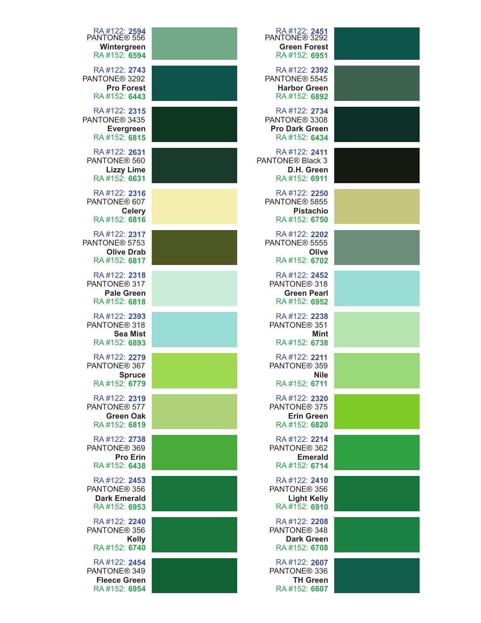| RA#122: 2594<br>PANTONE <sup>®</sup> 556<br>Wintergreen<br>RA#152: 6594         | RA #122: <b>2451</b><br>PANTONE® 3292<br><b>Green Forest</b><br>RA#152: 6951       |
|---------------------------------------------------------------------------------|------------------------------------------------------------------------------------|
| RA#122: 2743<br>PANTONE <sup>®</sup> 3292<br><b>Pro Forest</b><br>RA#152: 6443  | RA#122: 2392<br>PANTONE <sup>®</sup> 5545<br><b>Harbor Green</b><br>RA#152: 6892   |
| RA#122: 2315<br>PANTONE <sup>®</sup> 3435<br><b>Evergreen</b><br>RA#152: 6815   | RA#122: 2734<br>PANTONE <sup>®</sup> 3308<br><b>Pro Dark Green</b><br>RA#152: 6434 |
| RA#122: 2631<br>PANTONE <sup>®</sup> 560<br><b>Lizzy Lime</b><br>RA#152: 6631   | RA#122: 2411<br>PANTONE <sup>®</sup> Black 3<br>D.H. Green<br>RA#152: 6911         |
| RA#122: 2316<br>PANTONE® 607<br><b>Celery</b><br>RA#152: 6816                   | RA#122: 2250<br>PANTONE <sup>®</sup> 5855<br><b>Pistachio</b><br>RA#152: 6750      |
| RA#122: 2317<br>PANTONE <sup>®</sup> 5753<br><b>Olive Drab</b><br>RA#152: 6817  | RA#122: 2202<br>PANTONE <sup>®</sup> 5555<br>Olive<br>RA#152: 6702                 |
| RA#122: 2318<br>PANTONE <sup>®</sup> 317<br><b>Pale Green</b><br>RA#152: 6818   | RA#122: 2452<br>PANTONE <sup>®</sup> 318<br><b>Green Pearl</b><br>RA#152: 6952     |
| RA#122: 2393<br>PANTONE <sup>®</sup> 318<br><b>Sea Mist</b><br>RA#152: 6893     | RA#122: 2238<br>PANTONE <sup>®</sup> 351<br><b>Mint</b><br>RA#152: 6738            |
| RA#122: 2279<br>PANTONE® 367<br><b>Spruce</b><br>RA#152: 6779                   | RA#122: 2211<br>PANTONE® 359<br><b>Nile</b><br>RA#152: 6711                        |
| RA#122: 2319<br>PANTONE <sup>®</sup> 577<br><b>Green Oak</b><br>RA#152: 6819    | RA#122: 2320<br>PANTONE <sup>®</sup> 375<br><b>Erin Green</b><br>RA#152: 6820      |
| RA#122: 2738<br>PANTONE <sup>®</sup> 369<br><b>Pro Erin</b><br>RA#152: 6438     | RA#122: 2214<br>PANTONE <sup>®</sup> 362<br><b>Emerald</b><br>RA#152: 6714         |
| RA#122: 2453<br>PANTONE <sup>®</sup> 356<br><b>Dark Emerald</b><br>RA#152: 6953 | RA#122: 2410<br>PANTONE <sup>®</sup> 356<br><b>Light Kelly</b><br>RA#152: 6910     |
| RA#122: 2240<br>PANTONE <sup>®</sup> 356<br><b>Kelly</b><br>RA#152: 6740        | RA#122: 2208<br>PANTONE <sup>®</sup> 348<br><b>Dark Green</b><br>RA#152: 6708      |
| RA#122: 2454<br>PANTONE <sup>®</sup> 349<br><b>Fleece Green</b><br>RA#152: 6954 | RA#122: 2607<br>PANTONE <sup>®</sup> 336<br><b>TH Green</b><br>RA#152: 6607        |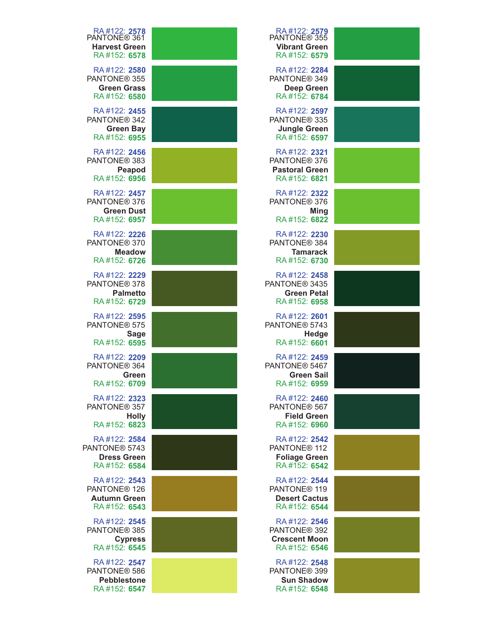| RA#122: 2578<br>PANTONE® 361<br><b>Harvest Green</b><br>RA#152: 6578            | RA#122: 2579<br>PANTONE® 355<br><b>Vibrant Green</b><br>RA#152: 6579              |  |
|---------------------------------------------------------------------------------|-----------------------------------------------------------------------------------|--|
| RA#122: 2580<br>PANTONE <sup>®</sup> 355<br><b>Green Grass</b><br>RA#152: 6580  | RA#122: 2284<br>PANTONE® 349<br><b>Deep Green</b><br>RA#152: 6784                 |  |
| RA#122: 2455<br>PANTONE <sup>®</sup> 342<br><b>Green Bay</b><br>RA#152: 6955    | RA#122: 2597<br>PANTONE <sup>®</sup> 335<br><b>Jungle Green</b><br>RA#152: 6597   |  |
| RA#122: 2456<br>PANTONE <sup>®</sup> 383<br>Peapod<br>RA#152: 6956              | RA#122: 2321<br>PANTONE <sup>®</sup> 376<br><b>Pastoral Green</b><br>RA#152: 6821 |  |
| RA#122: 2457<br>PANTONE <sup>®</sup> 376<br><b>Green Dust</b><br>RA#152: 6957   | RA#122: 2322<br>PANTONE <sup>®</sup> 376<br><b>Ming</b><br>RA#152: 6822           |  |
| RA#122: 2226<br>PANTONE <sup>®</sup> 370<br><b>Meadow</b><br>RA#152: 6726       | RA#122: 2230<br>PANTONE® 384<br><b>Tamarack</b><br>RA#152: 6730                   |  |
| RA#122: 2229<br>PANTONE <sup>®</sup> 378<br><b>Palmetto</b><br>RA#152: 6729     | RA#122: 2458<br>PANTONE <sup>®</sup> 3435<br><b>Green Petal</b><br>RA#152: 6958   |  |
| RA#122: 2595<br>PANTONE <sup>®</sup> 575<br><b>Sage</b><br>RA#152: 6595         | RA#122: 2601<br>PANTONE <sup>®</sup> 5743<br>Hedge<br>RA#152: 6601                |  |
| RA#122: 2209<br>PANTONE <sup>®</sup> 364<br>Green<br>RA#152: 6709               | RA#122: 2459<br>PANTONE® 5467<br><b>Green Sail</b><br>RA#152: 6959                |  |
| RA#122: 2323<br>PANTONE <sup>®</sup> 357<br><b>Holly</b><br>RA#152: 6823        | RA#122: 2460<br>PANTONE <sup>®</sup> 567<br><b>Field Green</b><br>RA#152: 6960    |  |
| RA#122: 2584<br>PANTONE <sup>®</sup> 5743<br><b>Dress Green</b><br>RA#152: 6584 | RA#122: 2542<br>PANTONE <sup>®</sup> 112<br><b>Foliage Green</b><br>RA#152: 6542  |  |
| RA#122: 2543<br>PANTONE <sup>®</sup> 126<br><b>Autumn Green</b><br>RA#152: 6543 | RA#122: 2544<br>PANTONE <sup>®</sup> 119<br><b>Desert Cactus</b><br>RA#152: 6544  |  |
| RA#122: 2545<br>PANTONE <sup>®</sup> 385<br><b>Cypress</b><br>RA#152: 6545      | RA#122: 2546<br>PANTONE <sup>®</sup> 392<br><b>Crescent Moon</b><br>RA#152: 6546  |  |
| RA#122: 2547<br>PANTONE <sup>®</sup> 586<br><b>Pebblestone</b><br>RA#152: 6547  | RA#122: 2548<br>PANTONE <sup>®</sup> 399<br><b>Sun Shadow</b><br>RA#152: 6548     |  |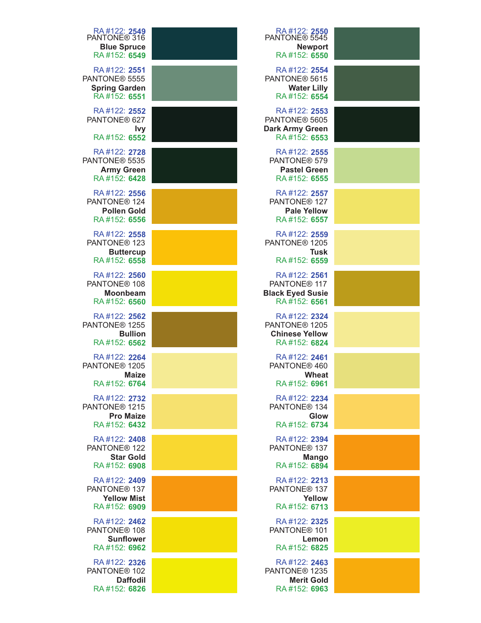| RA#122: <b>2549</b><br>PANTONE® 316<br><b>Blue Spruce</b><br>RA#152: 6549         | RA#122: 2550<br>PANTONE® 5545<br><b>Newport</b><br>RA#152: 6550                     |  |
|-----------------------------------------------------------------------------------|-------------------------------------------------------------------------------------|--|
| RA#122: 2551<br>PANTONE <sup>®</sup> 5555<br><b>Spring Garden</b><br>RA#152: 6551 | RA#122: 2554<br>PANTONE <sup>®</sup> 5615<br><b>Water Lilly</b><br>RA#152: 6554     |  |
| RA#122: 2552<br>PANTONE® 627<br><u>Ivy</u><br>RA#152: 6552                        | RA#122: 2553<br>PANTONE <sup>®</sup> 5605<br><b>Dark Army Green</b><br>RA#152: 6553 |  |
| RA#122: 2728<br>PANTONE <sup>®</sup> 5535<br><b>Army Green</b><br>RA#152: 6428    | RA#122: 2555<br>PANTONE® 579<br><b>Pastel Green</b><br>RA#152: 6555                 |  |
| RA#122: 2556<br>PANTONE <sup>®</sup> 124<br><b>Pollen Gold</b><br>RA#152: 6556    | RA#122: 2557<br>PANTONE <sup>®</sup> 127<br><b>Pale Yellow</b><br>RA#152: 6557      |  |
| RA#122: 2558<br>PANTONE <sup>®</sup> 123<br><b>Buttercup</b><br>RA#152: 6558      | RA#122: 2559<br>PANTONE <sup>®</sup> 1205<br><b>Tusk</b><br>RA#152: 6559            |  |
| RA#122: 2560<br>PANTONE <sup>®</sup> 108<br><b>Moonbeam</b><br>RA#152: 6560       | RA#122: 2561<br>PANTONE <sup>®</sup> 117<br><b>Black Eyed Susie</b><br>RA#152: 6561 |  |
| RA#122: 2562<br>PANTONE <sup>®</sup> 1255<br><b>Bullion</b><br>RA#152: 6562       | RA#122: 2324<br>PANTONE <sup>®</sup> 1205<br><b>Chinese Yellow</b><br>RA#152: 6824  |  |
| RA#122: 2264<br>PANTONE <sup>®</sup> 1205<br><b>Maize</b><br>RA#152: 6764         | RA#122: 2461<br>PANTONE® 460<br>Wheat<br>RA#152: 6961                               |  |
| RA#122: 2732<br>PANTONE <sup>®</sup> 1215<br><b>Pro Maize</b><br>RA#152: 6432     | RA#122: 2234<br>PANTONE <sup>®</sup> 134<br>Glow<br>RA#152: 6734                    |  |
| RA#122: 2408<br>PANTONE <sup>®</sup> 122<br><b>Star Gold</b><br>RA#152: 6908      | RA#122: 2394<br>PANTONE <sup>®</sup> 137<br><b>Mango</b><br>RA#152: 6894            |  |
| RA#122: 2409<br>PANTONE <sup>®</sup> 137<br><b>Yellow Mist</b><br>RA#152: 6909    | RA#122: 2213<br>PANTONE <sup>®</sup> 137<br>Yellow<br>RA#152: 6713                  |  |
| RA#122: 2462<br>PANTONE <sup>®</sup> 108<br><b>Sunflower</b><br>RA#152: 6962      | RA#122: 2325<br>PANTONE <sup>®</sup> 101<br>Lemon<br>RA#152: 6825                   |  |
| RA#122: 2326<br>PANTONE <sup>®</sup> 102<br><b>Daffodil</b><br>RA#152: 6826       | RA#122: 2463<br>PANTONE <sup>®</sup> 1235<br><b>Merit Gold</b><br>RA#152: 6963      |  |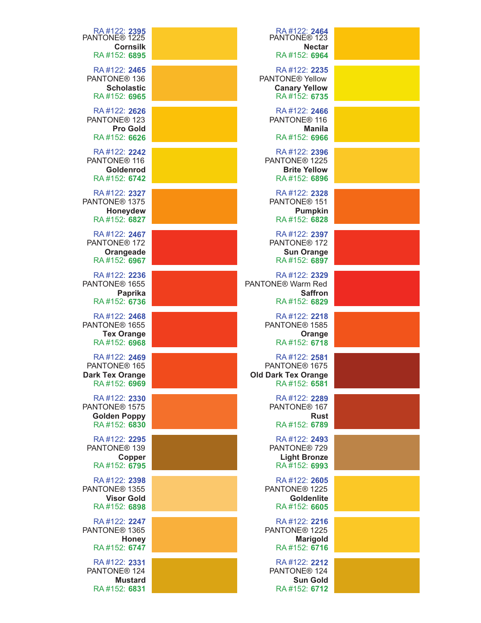| RA#122: 2395<br>PANTONE <sup>®</sup> 1225<br><b>Cornsilk</b>                       | RA#122: 2464<br>PANTONE <sup>®</sup> 123<br><b>Nectar</b>                               |  |
|------------------------------------------------------------------------------------|-----------------------------------------------------------------------------------------|--|
| RA#152: 6895                                                                       | RA#152: 6964                                                                            |  |
| RA#122: 2465<br>PANTONE <sup>®</sup> 136<br><b>Scholastic</b><br>RA#152: 6965      | RA#122: 2235<br>PANTONE <sup>®</sup> Yellow<br><b>Canary Yellow</b><br>RA#152: 6735     |  |
| RA#122: 2626<br>PANTONE <sup>®</sup> 123<br><b>Pro Gold</b><br>RA#152: 6626        | RA#122: 2466<br>PANTONE <sup>®</sup> 116<br><b>Manila</b><br>RA#152: 6966               |  |
| RA#122: 2242<br>PANTONE <sup>®</sup> 116<br>Goldenrod<br>RA#152: 6742              | RA#122: 2396<br>PANTONE <sup>®</sup> 1225<br><b>Brite Yellow</b><br>RA#152: 6896        |  |
| RA#122: 2327<br>PANTONE <sup>®</sup> 1375<br>Honeydew<br>RA#152: 6827              | RA#122: 2328<br>PANTONE <sup>®</sup> 151<br><b>Pumpkin</b><br>RA#152: 6828              |  |
| RA#122: 2467<br>PANTONE <sup>®</sup> 172<br>Orangeade<br>RA#152: 6967              | RA#122: 2397<br>PANTONE <sup>®</sup> 172<br><b>Sun Orange</b><br>RA#152: 6897           |  |
| RA#122: 2236<br>PANTONE <sup>®</sup> 1655<br><b>Paprika</b><br>RA#152: 6736        | RA#122: 2329<br>PANTONE <sup>®</sup> Warm Red<br><b>Saffron</b><br>RA#152: 6829         |  |
| RA#122: 2468<br>PANTONE <sup>®</sup> 1655<br><b>Tex Orange</b><br>RA#152: 6968     | RA#122: 2218<br>PANTONE <sup>®</sup> 1585<br>Orange<br>RA#152: 6718                     |  |
| RA#122: 2469<br>PANTONE <sup>®</sup> 165<br><b>Dark Tex Orange</b><br>RA#152: 6969 | RA#122: 2581<br>PANTONE <sup>®</sup> 1675<br><b>Old Dark Tex Orange</b><br>RA#152: 6581 |  |
| RA#122: 2330<br>PANTONE <sup>®</sup> 1575<br><b>Golden Poppy</b><br>RA#152: 6830   | RA#122: 2289<br>PANTONE <sup>®</sup> 167<br><b>Rust</b><br>RA#152: 6789                 |  |
| RA#122: 2295<br>PANTONE <sup>®</sup> 139<br>Copper<br>RA#152: 6795                 | RA#122: 2493<br>PANTONE <sup>®</sup> 729<br><b>Light Bronze</b><br>RA#152: 6993         |  |
| RA#122: 2398<br>PANTONE <sup>®</sup> 1355<br><b>Visor Gold</b><br>RA#152: 6898     | RA#122: 2605<br>PANTONE <sup>®</sup> 1225<br><b>Goldenlite</b><br>RA#152: 6605          |  |
| RA#122: 2247<br>PANTONE <sup>®</sup> 1365<br><b>Honey</b><br>RA#152: 6747          | RA#122: 2216<br>PANTONE <sup>®</sup> 1225<br><b>Marigold</b><br>RA#152: 6716            |  |
| RA#122: 2331<br>PANTONE <sup>®</sup> 124<br><b>Mustard</b><br>RA#152: 6831         | RA#122: 2212<br>PANTONE <sup>®</sup> 124<br><b>Sun Gold</b><br>RA#152: 6712             |  |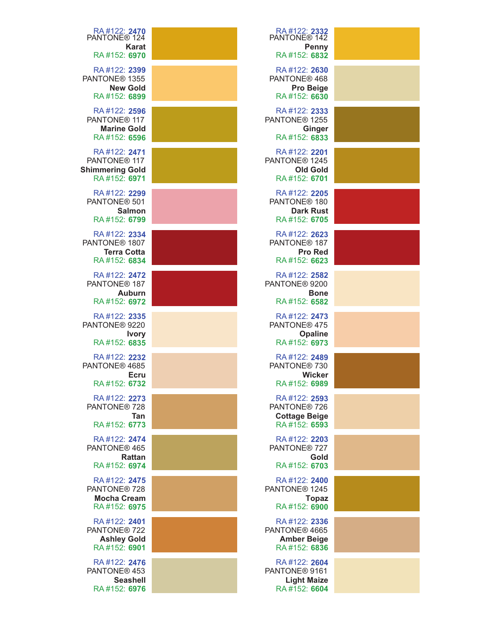| RA#122: 2332<br>PANTONE® 142<br>Penny<br>RA#152: 6832                           | RA#122: 2470<br>PANTONE® 124<br><b>Karat</b><br>RA#152: 6970                       |
|---------------------------------------------------------------------------------|------------------------------------------------------------------------------------|
| RA#122: 2630<br>PANTONE® 468<br><b>Pro Beige</b><br>RA#152: 6630                | RA#122: 2399<br>PANTONE <sup>®</sup> 1355<br><b>New Gold</b><br>RA#152: 6899       |
| RA#122: 2333<br>PANTONE <sup>®</sup> 1255<br><b>Ginger</b><br>RA#152: 6833      | RA#122: 2596<br>PANTONE <sup>®</sup> 117<br><b>Marine Gold</b><br>RA#152: 6596     |
| RA#122: 2201<br>PANTONE <sup>®</sup> 1245<br><b>Old Gold</b><br>RA#152: 6701    | RA#122: 2471<br>PANTONE <sup>®</sup> 117<br><b>Shimmering Gold</b><br>RA#152: 6971 |
| RA#122: 2205<br>PANTONE <sup>®</sup> 180<br><b>Dark Rust</b><br>RA#152: 6705    | RA#122: 2299<br>PANTONE <sup>®</sup> 501<br><b>Salmon</b><br>RA#152: 6799          |
| RA#122: 2623<br>PANTONE <sup>®</sup> 187<br><b>Pro Red</b><br>RA#152: 6623      | RA#122: 2334<br>PANTONE <sup>®</sup> 1807<br><b>Terra Cotta</b><br>RA#152: 6834    |
| RA#122: 2582<br>PANTONE <sup>®</sup> 9200<br><b>Bone</b><br>RA#152: 6582        | RA#122: 2472<br>PANTONE <sup>®</sup> 187<br>Auburn<br>RA#152: 6972                 |
| RA#122: 2473<br>PANTONE <sup>®</sup> 475<br><b>Opaline</b><br>RA#152: 6973      | RA#122: 2335<br>PANTONE <sup>®</sup> 9220<br><b>Ivory</b><br>RA#152: 6835          |
| RA#122: 2489<br>PANTONE® 730<br><b>Wicker</b><br>RA#152: 6989                   | RA#122: 2232<br>PANTONE <sup>®</sup> 4685<br><b>Ecru</b><br>RA#152: 6732           |
| RA#122: 2593<br>PANTONE® 726<br><b>Cottage Beige</b><br>RA#152: 6593            | RA#122: 2273<br>PANTONE <sup>®</sup> 728<br>Tan<br>RA#152: 6773                    |
| RA#122: 2203<br>PANTONE <sup>®</sup> 727<br>Gold<br>RA#152: 6703                | RA#122: 2474<br>PANTONE <sup>®</sup> 465<br><b>Rattan</b><br>RA#152: 6974          |
| RA#122: 2400<br>PANTONE <sup>®</sup> 1245<br><b>Topaz</b><br>RA#152: 6900       | RA#122: 2475<br>PANTONE <sup>®</sup> 728<br><b>Mocha Cream</b><br>RA#152: 6975     |
| RA#122: 2336<br>PANTONE <sup>®</sup> 4665<br><b>Amber Beige</b><br>RA#152: 6836 | RA#122: 2401<br>PANTONE <sup>®</sup> 722<br><b>Ashley Gold</b><br>RA#152: 6901     |
| RA#122: 2604<br>PANTONE <sup>®</sup> 9161<br><b>Light Maize</b><br>RA#152: 6604 | RA#122: 2476<br>PANTONE <sup>®</sup> 453<br><b>Seashell</b><br>RA#152: 6976        |
|                                                                                 |                                                                                    |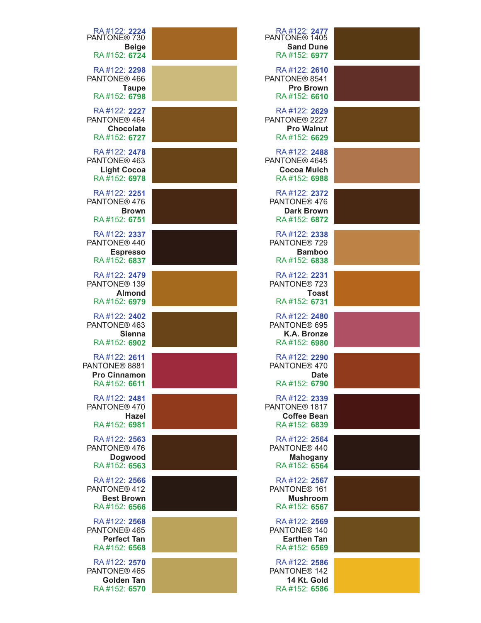| RA #122: <b>2224</b><br>PANTONE® 730<br><b>Beige</b><br>RA#152: 6724           | RA#122: 2477<br>PANTONE <sup>®</sup> 1405<br><b>Sand Dune</b><br>RA#152: 6977   |  |
|--------------------------------------------------------------------------------|---------------------------------------------------------------------------------|--|
| RA#122: 2298<br>PANTONE <sup>®</sup> 466<br><b>Taupe</b><br>RA#152: 6798       | RA#122: 2610<br>PANTONE® 8541<br><b>Pro Brown</b><br>RA#152: 6610               |  |
| RA#122: 2227<br>PANTONE <sup>®</sup> 464<br><b>Chocolate</b><br>RA#152: 6727   | RA#122: 2629<br>PANTONE <sup>®</sup> 2227<br><b>Pro Walnut</b><br>RA#152: 6629  |  |
| RA#122: 2478<br>PANTONE <sup>®</sup> 463<br><b>Light Cocoa</b><br>RA#152: 6978 | RA#122: 2488<br>PANTONE <sup>®</sup> 4645<br><b>Cocoa Mulch</b><br>RA#152: 6988 |  |
| RA#122: 2251<br>PANTONE <sup>®</sup> 476<br><b>Brown</b><br>RA#152: 6751       | RA#122: 2372<br>PANTONE® 476<br><b>Dark Brown</b><br>RA#152: 6872               |  |
| RA#122: 2337<br>PANTONE® 440<br><b>Espresso</b><br>RA#152: 6837                | RA#122: 2338<br>PANTONE <sup>®</sup> 729<br><b>Bamboo</b><br>RA#152: 6838       |  |
| RA#122: 2479<br>PANTONE <sup>®</sup> 139<br><b>Almond</b><br>RA#152: 6979      | RA#122: 2231<br>PANTONE <sup>®</sup> 723<br><b>Toast</b><br>RA#152: 6731        |  |
| RA#122: 2402<br>PANTONE <sup>®</sup> 463<br><b>Sienna</b><br>RA#152: 6902      | RA#122: 2480<br>PANTONE® 695<br>K.A. Bronze<br>RA#152: 6980                     |  |
| RA#122: 2611<br>PANTONE® 8881<br><b>Pro Cinnamon</b><br>RA#152: 6611           | RA#122: 2290<br>PANTONE <sup>®</sup> 470<br><b>Date</b><br>RA#152: 6790         |  |
| RA#122: 2481<br>PANTONE <sup>®</sup> 470<br>Hazel<br>RA#152: 6981              | RA#122: 2339<br>PANTONE <sup>®</sup> 1817<br><b>Coffee Bean</b><br>RA#152: 6839 |  |
| RA#122: 2563<br>PANTONE <sup>®</sup> 476<br><b>Dogwood</b><br>RA#152: 6563     | RA#122: 2564<br>PANTONE <sup>®</sup> 440<br><b>Mahogany</b><br>RA#152: 6564     |  |
| RA#122: 2566<br>PANTONE <sup>®</sup> 412<br><b>Best Brown</b><br>RA#152: 6566  | RA#122: 2567<br>PANTONE <sup>®</sup> 161<br><b>Mushroom</b><br>RA#152: 6567     |  |
| RA#122: 2568<br>PANTONE <sup>®</sup> 465<br><b>Perfect Tan</b><br>RA#152: 6568 | RA#122: 2569<br>PANTONE <sup>®</sup> 140<br><b>Earthen Tan</b><br>RA#152: 6569  |  |
| RA#122: 2570<br>PANTONE <sup>®</sup> 465<br><b>Golden Tan</b><br>RA#152: 6570  | RA#122: 2586<br>PANTONE <sup>®</sup> 142<br>14 Kt. Gold<br>RA#152: 6586         |  |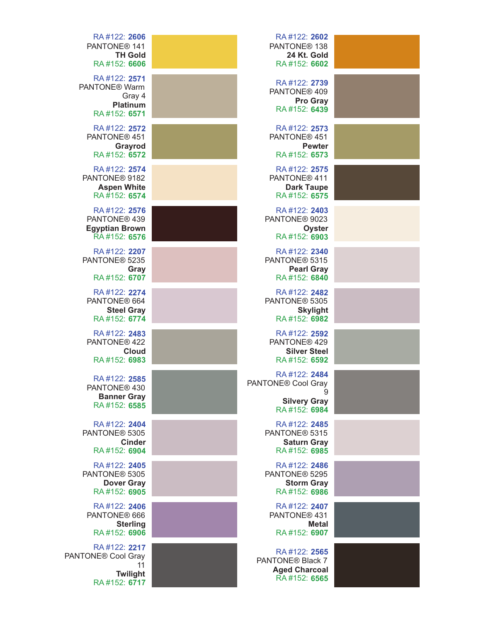| RA#122: 2606                   | RA#122: 2602                 |  |
|--------------------------------|------------------------------|--|
|                                |                              |  |
| PANTONE <sup>®</sup> 141       | PANTONE <sup>®</sup> 138     |  |
| <b>TH Gold</b>                 | 24 Kt. Gold                  |  |
| RA#152: 6606                   | RA#152: 6602                 |  |
|                                |                              |  |
| RA#122: 2571                   | RA#122: 2739                 |  |
| PANTONE <sup>®</sup> Warm      |                              |  |
| Gray 4                         | PANTONE® 409                 |  |
|                                | <b>Pro Gray</b>              |  |
| <b>Platinum</b>                | RA#152: 6439                 |  |
| RA#152: 6571                   |                              |  |
| RA#122: 2572                   | RA#122: 2573                 |  |
|                                |                              |  |
| PANTONE® 451                   | PANTONE® 451                 |  |
| Grayrod                        | <b>Pewter</b>                |  |
| RA#152: 6572                   | RA#152: 6573                 |  |
|                                |                              |  |
| RA#122: 2574                   | RA#122: 2575                 |  |
| PANTONE® 9182                  | PANTONE® 411                 |  |
| <b>Aspen White</b>             | <b>Dark Taupe</b>            |  |
| RA#152: 6574                   | RA#152: 6575                 |  |
|                                |                              |  |
| RA#122: 2576                   | RA#122: 2403                 |  |
| PANTONE <sup>®</sup> 439       | PANTONE <sup>®</sup> 9023    |  |
|                                |                              |  |
| <b>Egyptian Brown</b>          | Oyster                       |  |
| RA#152: 6576                   | RA#152: 6903                 |  |
|                                |                              |  |
| RA#122: 2207                   | RA#122: 2340                 |  |
| PANTONE <sup>®</sup> 5235      | PANTONE <sup>®</sup> 5315    |  |
| Gray                           | <b>Pearl Gray</b>            |  |
| RA#152: 6707                   | RA#152: 6840                 |  |
|                                |                              |  |
| RA#122: 2274                   | RA#122: 2482                 |  |
| PANTONE® 664                   | PANTONE <sup>®</sup> 5305    |  |
| <b>Steel Gray</b>              | <b>Skylight</b>              |  |
| RA#152: 6774                   | RA#152: 6982                 |  |
|                                |                              |  |
| RA#122: 2483                   | RA#122: 2592                 |  |
| PANTONE <sup>®</sup> 422       | PANTONE® 429                 |  |
|                                |                              |  |
| Cloud                          | <b>Silver Steel</b>          |  |
| RA#152: 6983                   | RA#152: 6592                 |  |
|                                |                              |  |
| RA#122: 2585                   | RA#122: 2484                 |  |
| PANTONE <sup>®</sup> 430       | PANTONE® Cool Gray           |  |
|                                | 9                            |  |
| <b>Banner Gray</b>             | <b>Silvery Gray</b>          |  |
| RA#152: 6585                   | RA#152: 6984                 |  |
|                                |                              |  |
| RA#122: 2404                   | RA#122: 2485                 |  |
| PANTONE <sup>®</sup> 5305      | PANTONE® 5315                |  |
| <b>Cinder</b>                  | <b>Saturn Gray</b>           |  |
|                                | RA#152: 6985                 |  |
| RA#152: 6904                   |                              |  |
| RA#122: 2405                   | RA#122: 2486                 |  |
| PANTONE <sup>®</sup> 5305      | PANTONE® 5295                |  |
|                                |                              |  |
| <b>Dover Gray</b>              | <b>Storm Gray</b>            |  |
| RA#152: 6905                   | RA#152: 6986                 |  |
|                                |                              |  |
| RA#122: 2406                   | RA#122: 2407                 |  |
| PANTONE® 666                   | PANTONE <sup>®</sup> 431     |  |
| <b>Sterling</b>                | <b>Metal</b>                 |  |
| RA#152: 6906                   | RA#152: 6907                 |  |
|                                |                              |  |
| RA#122: 2217                   |                              |  |
| PANTONE <sup>®</sup> Cool Gray | RA#122: 2565                 |  |
| 11                             | PANTONE <sup>®</sup> Black 7 |  |
| Twilight                       | <b>Aged Charcoal</b>         |  |
| RA#152: 6717                   | RA#152: 6565                 |  |
|                                |                              |  |